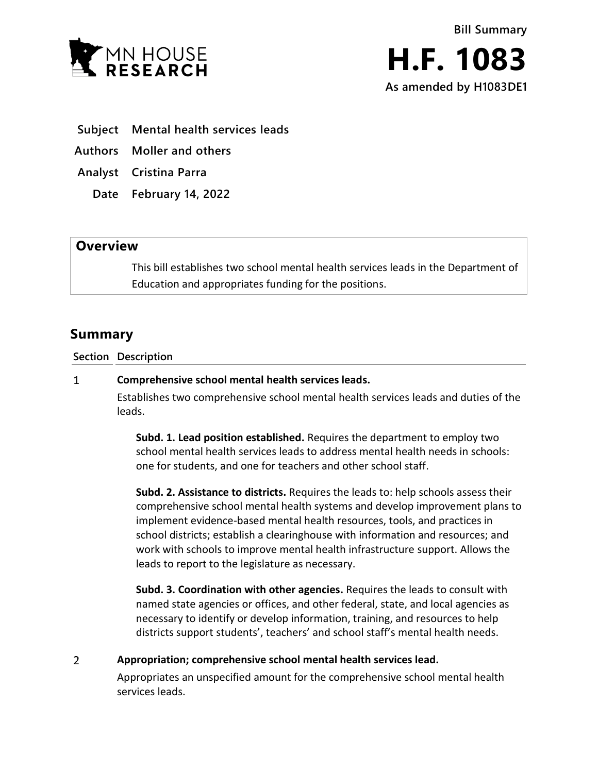



- **Subject Mental health services leads**
- **Authors Moller and others**
- **Analyst Cristina Parra**
	- **Date February 14, 2022**

## **Overview**

This bill establishes two school mental health services leads in the Department of Education and appropriates funding for the positions.

## **Summary**

**Section Description**

## $\mathbf{1}$ **Comprehensive school mental health services leads.**

Establishes two comprehensive school mental health services leads and duties of the leads.

**Subd. 1. Lead position established.** Requires the department to employ two school mental health services leads to address mental health needs in schools: one for students, and one for teachers and other school staff.

**Subd. 2. Assistance to districts.** Requires the leads to: help schools assess their comprehensive school mental health systems and develop improvement plans to implement evidence-based mental health resources, tools, and practices in school districts; establish a clearinghouse with information and resources; and work with schools to improve mental health infrastructure support. Allows the leads to report to the legislature as necessary.

**Subd. 3. Coordination with other agencies.** Requires the leads to consult with named state agencies or offices, and other federal, state, and local agencies as necessary to identify or develop information, training, and resources to help districts support students', teachers' and school staff's mental health needs.

 $\overline{2}$ **Appropriation; comprehensive school mental health services lead.**

> Appropriates an unspecified amount for the comprehensive school mental health services leads.